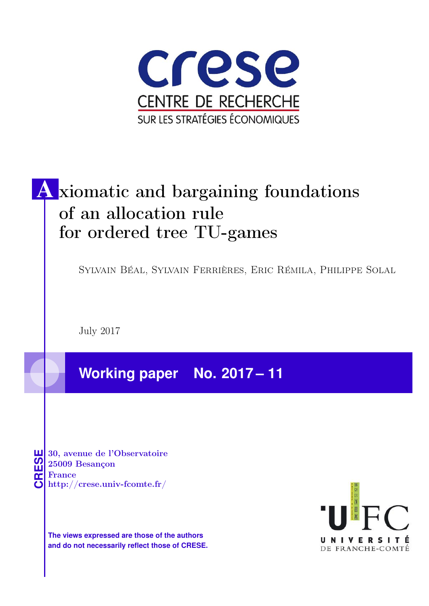

# A xiomatic and bargaining foundations of an allocation rule for ordered tree TU-games

Sylvain Béal, Sylvain Ferrières, Eric Rémila, Philippe Solal

July 2017

**Working paper No. 2017 – 11**

**CRESE 30, avenue de l'Observatoire<br>
25009 Besançon<br>
France<br>
<b>CRESE de l'Observatoire**<br>
Http://crese.univ-fcomte.fr/ 25009 Besançon France

**The views expressed are those of the authors and do not necessarily reflect those of CRESE.**

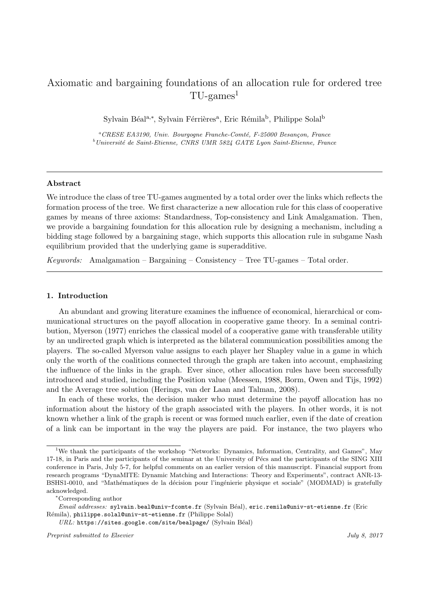# Axiomatic and bargaining foundations of an allocation rule for ordered tree  $TU$ -games<sup>1</sup>

Sylvain Béal<sup>a,∗</sup>, Sylvain Férrières<sup>a</sup>, Eric Rémila<sup>b</sup>, Philippe Solal<sup>b</sup>

 ${}^a$ CRESE EA3190, Univ. Bourgogne Franche-Comté, F-25000 Besançon, France  $b$ Université de Saint-Etienne, CNRS UMR 5824 GATE Lyon Saint-Etienne, France

#### Abstract

We introduce the class of tree TU-games augmented by a total order over the links which reflects the formation process of the tree. We first characterize a new allocation rule for this class of cooperative games by means of three axioms: Standardness, Top-consistency and Link Amalgamation. Then, we provide a bargaining foundation for this allocation rule by designing a mechanism, including a bidding stage followed by a bargaining stage, which supports this allocation rule in subgame Nash equilibrium provided that the underlying game is superadditive.

Keywords: Amalgamation – Bargaining – Consistency – Tree TU-games – Total order.

## 1. Introduction

An abundant and growing literature examines the influence of economical, hierarchical or communicational structures on the payoff allocation in cooperative game theory. In a seminal contribution, Myerson (1977) enriches the classical model of a cooperative game with transferable utility by an undirected graph which is interpreted as the bilateral communication possibilities among the players. The so-called Myerson value assigns to each player her Shapley value in a game in which only the worth of the coalitions connected through the graph are taken into account, emphasizing the influence of the links in the graph. Ever since, other allocation rules have been successfully introduced and studied, including the Position value (Meessen, 1988, Borm, Owen and Tijs, 1992) and the Average tree solution (Herings, van der Laan and Talman, 2008).

In each of these works, the decision maker who must determine the payoff allocation has no information about the history of the graph associated with the players. In other words, it is not known whether a link of the graph is recent or was formed much earlier, even if the date of creation of a link can be important in the way the players are paid. For instance, the two players who

 $URL: \texttt{https://sites.google.com/site/bealpage/}$  (Sylvain Béal)

<sup>1</sup>We thank the participants of the workshop "Networks: Dynamics, Information, Centrality, and Games", May 17-18, in Paris and the participants of the seminar at the University of Pécs and the participants of the SING XIII conference in Paris, July 5-7, for helpful comments on an earlier version of this manuscript. Financial support from research programs "DynaMITE: Dynamic Matching and Interactions: Theory and Experiments", contract ANR-13- BSHS1-0010, and "Mathématiques de la décision pour l'ingénierie physique et sociale" (MODMAD) is gratefully acknowledged.

<sup>∗</sup>Corresponding author

Email addresses: sylvain.beal@univ-fcomte.fr (Sylvain Béal), eric.remila@univ-st-etienne.fr (Eric Rémila), philippe.solal@univ-st-etienne.fr (Philippe Solal)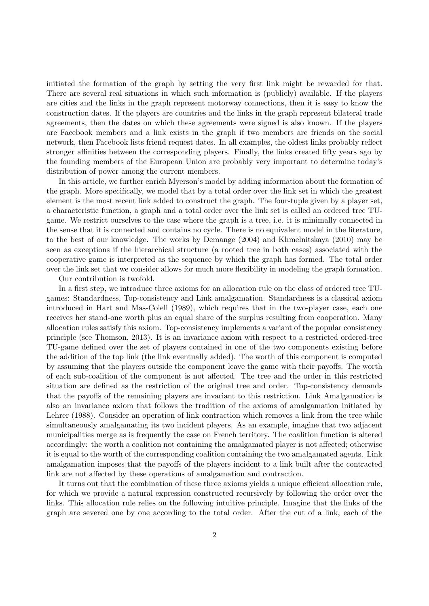initiated the formation of the graph by setting the very first link might be rewarded for that. There are several real situations in which such information is (publicly) available. If the players are cities and the links in the graph represent motorway connections, then it is easy to know the construction dates. If the players are countries and the links in the graph represent bilateral trade agreements, then the dates on which these agreements were signed is also known. If the players are Facebook members and a link exists in the graph if two members are friends on the social network, then Facebook lists friend request dates. In all examples, the oldest links probably reflect stronger affinities between the corresponding players. Finally, the links created fifty years ago by the founding members of the European Union are probably very important to determine today's distribution of power among the current members.

In this article, we further enrich Myerson's model by adding information about the formation of the graph. More specifically, we model that by a total order over the link set in which the greatest element is the most recent link added to construct the graph. The four-tuple given by a player set, a characteristic function, a graph and a total order over the link set is called an ordered tree TUgame. We restrict ourselves to the case where the graph is a tree, i.e. it is minimally connected in the sense that it is connected and contains no cycle. There is no equivalent model in the literature, to the best of our knowledge. The works by Demange (2004) and Khmelnitskaya (2010) may be seen as exceptions if the hierarchical structure (a rooted tree in both cases) associated with the cooperative game is interpreted as the sequence by which the graph has formed. The total order over the link set that we consider allows for much more flexibility in modeling the graph formation.

Our contribution is twofold.

In a first step, we introduce three axioms for an allocation rule on the class of ordered tree TUgames: Standardness, Top-consistency and Link amalgamation. Standardness is a classical axiom introduced in Hart and Mas-Colell (1989), which requires that in the two-player case, each one receives her stand-one worth plus an equal share of the surplus resulting from cooperation. Many allocation rules satisfy this axiom. Top-consistency implements a variant of the popular consistency principle (see Thomson, 2013). It is an invariance axiom with respect to a restricted ordered-tree TU-game defined over the set of players contained in one of the two components existing before the addition of the top link (the link eventually added). The worth of this component is computed by assuming that the players outside the component leave the game with their payoffs. The worth of each sub-coalition of the component is not affected. The tree and the order in this restricted situation are defined as the restriction of the original tree and order. Top-consistency demands that the payoffs of the remaining players are invariant to this restriction. Link Amalgamation is also an invariance axiom that follows the tradition of the axioms of amalgamation initiated by Lehrer (1988). Consider an operation of link contraction which removes a link from the tree while simultaneously amalgamating its two incident players. As an example, imagine that two adjacent municipalities merge as is frequently the case on French territory. The coalition function is altered accordingly: the worth a coalition not containing the amalgamated player is not affected; otherwise it is equal to the worth of the corresponding coalition containing the two amalgamated agents. Link amalgamation imposes that the payoffs of the players incident to a link built after the contracted link are not affected by these operations of amalgamation and contraction.

It turns out that the combination of these three axioms yields a unique efficient allocation rule, for which we provide a natural expression constructed recursively by following the order over the links. This allocation rule relies on the following intuitive principle. Imagine that the links of the graph are severed one by one according to the total order. After the cut of a link, each of the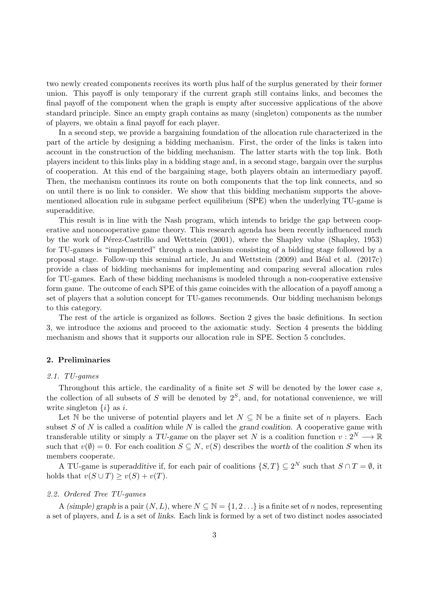two newly created components receives its worth plus half of the surplus generated by their former union. This payoff is only temporary if the current graph still contains links, and becomes the final payoff of the component when the graph is empty after successive applications of the above standard principle. Since an empty graph contains as many (singleton) components as the number of players, we obtain a final payoff for each player.

In a second step, we provide a bargaining foundation of the allocation rule characterized in the part of the article by designing a bidding mechanism. First, the order of the links is taken into account in the construction of the bidding mechanism. The latter starts with the top link. Both players incident to this links play in a bidding stage and, in a second stage, bargain over the surplus of cooperation. At this end of the bargaining stage, both players obtain an intermediary payoff. Then, the mechanism continues its route on both components that the top link connects, and so on until there is no link to consider. We show that this bidding mechanism supports the abovementioned allocation rule in subgame perfect equilibrium (SPE) when the underlying TU-game is superadditive.

This result is in line with the Nash program, which intends to bridge the gap between cooperative and noncooperative game theory. This research agenda has been recently influenced much by the work of Pérez-Castrillo and Wettstein (2001), where the Shapley value (Shapley, 1953) for TU-games is "implemented" through a mechanism consisting of a bidding stage followed by a proposal stage. Follow-up this seminal article, Ju and Wettstein (2009) and B´eal et al. (2017c) provide a class of bidding mechanisms for implementing and comparing several allocation rules for TU-games. Each of these bidding mechanisms is modeled through a non-cooperative extensive form game. The outcome of each SPE of this game coincides with the allocation of a payoff among a set of players that a solution concept for TU-games recommends. Our bidding mechanism belongs to this category.

The rest of the article is organized as follows. Section 2 gives the basic definitions. In section 3, we introduce the axioms and proceed to the axiomatic study. Section 4 presents the bidding mechanism and shows that it supports our allocation rule in SPE. Section 5 concludes.

# 2. Preliminaries

## 2.1. TU-games

Throughout this article, the cardinality of a finite set  $S$  will be denoted by the lower case  $s$ , the collection of all subsets of S will be denoted by  $2<sup>S</sup>$ , and, for notational convenience, we will write singleton  $\{i\}$  as i.

Let N be the universe of potential players and let  $N \subseteq N$  be a finite set of n players. Each subset S of N is called a coalition while N is called the grand coalition. A cooperative game with transferable utility or simply a TU-game on the player set N is a coalition function  $v: 2^N \longrightarrow \mathbb{R}$ such that  $v(\emptyset) = 0$ . For each coalition  $S \subseteq N$ ,  $v(S)$  describes the worth of the coalition S when its members cooperate.

A TU-game is superadditive if, for each pair of coalitions  $\{S,T\} \subseteq 2^N$  such that  $S \cap T = \emptyset$ , it holds that  $v(S \cup T) \ge v(S) + v(T)$ .

# 2.2. Ordered Tree TU-games

A (simple) graph is a pair  $(N, L)$ , where  $N \subseteq \mathbb{N} = \{1, 2, \ldots\}$  is a finite set of n nodes, representing a set of players, and L is a set of links. Each link is formed by a set of two distinct nodes associated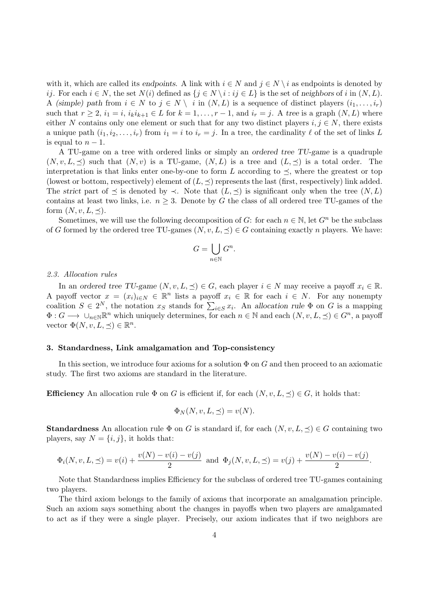with it, which are called its endpoints. A link with  $i \in N$  and  $j \in N \setminus i$  as endpoints is denoted by ij. For each  $i \in N$ , the set  $N(i)$  defined as  $\{j \in N \setminus i : ij \in L\}$  is the set of neighbors of i in  $(N, L)$ . A (simple) path from  $i \in N$  to  $j \in N \setminus i$  in  $(N, L)$  is a sequence of distinct players  $(i_1, \ldots, i_r)$ such that  $r \geq 2$ ,  $i_1 = i$ ,  $i_k i_{k+1} \in L$  for  $k = 1, \ldots, r - 1$ , and  $i_r = j$ . A tree is a graph  $(N, L)$  where either N contains only one element or such that for any two distinct players  $i, j \in N$ , there exists a unique path  $(i_1, i_2, \ldots, i_r)$  from  $i_1 = i$  to  $i_r = j$ . In a tree, the cardinality  $\ell$  of the set of links L is equal to  $n-1$ .

A TU-game on a tree with ordered links or simply an ordered tree TU-game is a quadruple  $(N, v, L, \preceq)$  such that  $(N, v)$  is a TU-game,  $(N, L)$  is a tree and  $(L, \preceq)$  is a total order. The interpretation is that links enter one-by-one to form L according to  $\preceq$ , where the greatest or top (lowest or bottom, respectively) element of  $(L, \preceq)$  represents the last (first, respectively) link added. The strict part of  $\preceq$  is denoted by  $\prec$ . Note that  $(L, \preceq)$  is significant only when the tree  $(N, L)$ contains at least two links, i.e.  $n \geq 3$ . Denote by G the class of all ordered tree TU-games of the form  $(N, v, L, \preceq)$ .

Sometimes, we will use the following decomposition of G: for each  $n \in \mathbb{N}$ , let  $G^n$  be the subclass of G formed by the ordered tree TU-games  $(N, v, L, \preceq) \in G$  containing exactly n players. We have:

$$
G = \bigcup_{n \in \mathbb{N}} G^n.
$$

#### 2.3. Allocation rules

In an ordered tree TU-game  $(N, v, L, \preceq) \in G$ , each player  $i \in N$  may receive a payoff  $x_i \in \mathbb{R}$ . A payoff vector  $x = (x_i)_{i \in N} \in \mathbb{R}^n$  lists a payoff  $x_i \in \mathbb{R}$  for each  $i \in N$ . For any nonempty coalition  $S \in 2^N$ , the notation  $x_S$  stands for  $\sum_{i \in S} x_i$ . An allocation rule  $\Phi$  on G is a mapping  $\Phi: G \longrightarrow \bigcup_{n\in\mathbb{N}} \mathbb{R}^n$  which uniquely determines, for each  $n \in \mathbb{N}$  and each  $(N, v, L, \preceq) \in G^n$ , a payoff vector  $\Phi(N, v, L, \preceq) \in \mathbb{R}^n$ .

#### 3. Standardness, Link amalgamation and Top-consistency

In this section, we introduce four axioms for a solution  $\Phi$  on G and then proceed to an axiomatic study. The first two axioms are standard in the literature.

**Efficiency** An allocation rule  $\Phi$  on G is efficient if, for each  $(N, v, L, \preceq) \in G$ , it holds that:

$$
\Phi_N(N, v, L, \preceq) = v(N).
$$

**Standardness** An allocation rule  $\Phi$  on G is standard if, for each  $(N, v, L, \preceq) \in G$  containing two players, say  $N = \{i, j\}$ , it holds that:

$$
\Phi_i(N, v, L, \preceq) = v(i) + \frac{v(N) - v(i) - v(j)}{2} \text{ and } \Phi_j(N, v, L, \preceq) = v(j) + \frac{v(N) - v(i) - v(j)}{2}.
$$

Note that Standardness implies Efficiency for the subclass of ordered tree TU-games containing two players.

The third axiom belongs to the family of axioms that incorporate an amalgamation principle. Such an axiom says something about the changes in payoffs when two players are amalgamated to act as if they were a single player. Precisely, our axiom indicates that if two neighbors are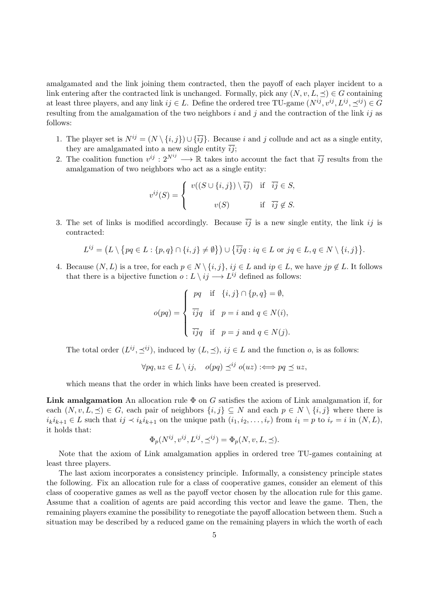amalgamated and the link joining them contracted, then the payoff of each player incident to a link entering after the contracted link is unchanged. Formally, pick any  $(N, v, L, \preceq) \in G$  containing at least three players, and any link  $ij \in L$ . Define the ordered tree TU-game  $(N^{ij}, v^{ij}, L^{ij}, \preceq^{ij}) \in G$ resulting from the amalgamation of the two neighbors i and j and the contraction of the link ij as follows:

- 1. The player set is  $N^{ij} = (N \setminus \{i, j\}) \cup \{\overline{ij}\}\)$ . Because i and j collude and act as a single entity, they are amalgamated into a new single entity  $\overline{ij}$ ;
- 2. The coalition function  $v^{ij}: 2^{N^{ij}} \longrightarrow \mathbb{R}$  takes into account the fact that  $\overline{ij}$  results from the amalgamation of two neighbors who act as a single entity:

$$
v^{ij}(S) = \begin{cases} v((S \cup \{i,j\}) \setminus \overline{ij}) & \text{if } \overline{ij} \in S, \\ v(S) & \text{if } \overline{ij} \notin S. \end{cases}
$$

3. The set of links is modified accordingly. Because  $\overline{ij}$  is a new single entity, the link ij is contracted:

$$
L^{ij} = (L \setminus \{pq \in L : \{p,q\} \cap \{i,j\} \neq \emptyset\}) \cup \{\overline{ij}q : iq \in L \text{ or } jq \in L, q \in N \setminus \{i,j\}\}.
$$

4. Because  $(N, L)$  is a tree, for each  $p \in N \setminus \{i, j\}$ ,  $ij \in L$  and  $ip \in L$ , we have  $jp \notin L$ . It follows that there is a bijective function  $o: L \setminus ij \longrightarrow L^{ij}$  defined as follows:

$$
o(pq) = \begin{cases} pq & \text{if } \{i,j\} \cap \{p,q\} = \emptyset, \\ \overline{ij}q & \text{if } p = i \text{ and } q \in N(i), \\ \overline{ij}q & \text{if } p = j \text{ and } q \in N(j). \end{cases}
$$

The total order  $(L^{ij}, \preceq^{ij})$ , induced by  $(L, \preceq)$ ,  $ij \in L$  and the function *o*, is as follows:

$$
\forall pq, uz \in L \setminus ij, \quad o(pq) \preceq^{ij} o(uz) :\iff pq \preceq uz,
$$

which means that the order in which links have been created is preserved.

**Link amalgamation** An allocation rule  $\Phi$  on G satisfies the axiom of Link amalgamation if, for each  $(N, v, L, \preceq) \in G$ , each pair of neighbors  $\{i, j\} \subseteq N$  and each  $p \in N \setminus \{i, j\}$  where there is  $i_k i_{k+1} \in L$  such that  $ij \prec i_k i_{k+1}$  on the unique path  $(i_1, i_2, \ldots, i_r)$  from  $i_1 = p$  to  $i_r = i$  in  $(N, L)$ , it holds that:

$$
\Phi_p(N^{ij}, v^{ij}, L^{ij}, \preceq^{ij}) = \Phi_p(N, v, L, \preceq).
$$

Note that the axiom of Link amalgamation applies in ordered tree TU-games containing at least three players.

The last axiom incorporates a consistency principle. Informally, a consistency principle states the following. Fix an allocation rule for a class of cooperative games, consider an element of this class of cooperative games as well as the payoff vector chosen by the allocation rule for this game. Assume that a coalition of agents are paid according this vector and leave the game. Then, the remaining players examine the possibility to renegotiate the payoff allocation between them. Such a situation may be described by a reduced game on the remaining players in which the worth of each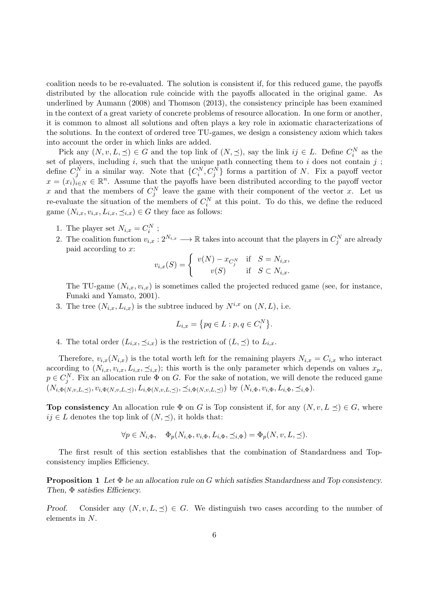coalition needs to be re-evaluated. The solution is consistent if, for this reduced game, the payoffs distributed by the allocation rule coincide with the payoffs allocated in the original game. As underlined by Aumann (2008) and Thomson (2013), the consistency principle has been examined in the context of a great variety of concrete problems of resource allocation. In one form or another, it is common to almost all solutions and often plays a key role in axiomatic characterizations of the solutions. In the context of ordered tree TU-games, we design a consistency axiom which takes into account the order in which links are added.

Pick any  $(N, v, L, \preceq) \in G$  and the top link of  $(N, \preceq)$ , say the link  $ij \in L$ . Define  $C_i^N$  as the set of players, including  $i$ , such that the unique path connecting them to  $i$  does not contain  $j$ ; define  $C_j^N$  in a similar way. Note that  $\{C_i^N, C_j^N\}$  forms a partition of N. Fix a payoff vector  $x = (x_i)_{i \in \mathbb{N}} \in \mathbb{R}^n$ . Assume that the payoffs have been distributed according to the payoff vector x and that the members of  $C_j^N$  leave the game with their component of the vector x. Let us re-evaluate the situation of the members of  $C_i^N$  at this point. To do this, we define the reduced game  $(N_{i,x}, v_{i,x}, L_{i,x}, \preceq_{i,x}) \in G$  they face as follows:

- 1. The player set  $N_{i,x} = C_i^N$ ;
- 2. The coalition function  $v_{i,x}: 2^{N_{i,x}} \longrightarrow \mathbb{R}$  takes into account that the players in  $C_j^N$  are already paid according to x:

$$
v_{i,x}(S) = \begin{cases} v(N) - x_{C_j^N} & \text{if } S = N_{i,x}, \\ v(S) & \text{if } S \subset N_{i,x}. \end{cases}
$$

The TU-game  $(N_{i,x}, v_{i,x})$  is sometimes called the projected reduced game (see, for instance, Funaki and Yamato, 2001).

3. The tree  $(N_{i,x}, L_{i,x})$  is the subtree induced by  $N^{i,x}$  on  $(N, L)$ , i.e.

$$
L_{i,x} = \{ pq \in L : p, q \in C_i^N \}.
$$

4. The total order  $(L_{i,x}, \preceq_{i,x})$  is the restriction of  $(L, \preceq)$  to  $L_{i,x}$ .

Therefore,  $v_{i,x}(N_{i,x})$  is the total worth left for the remaining players  $N_{i,x} = C_{i,x}$  who interact according to  $(N_{i,x}, v_{i,x}, L_{i,x}, \preceq_{i,x})$ ; this worth is the only parameter which depends on values  $x_p$ ,  $p \in C_j^N$ . Fix an allocation rule  $\Phi$  on G. For the sake of notation, we will denote the reduced game  $(N_{i, \Phi(N, v, L, \preceq)}, v_{i, \Phi(N, v, L, \preceq)}, L_{i, \Phi(N, v, L, \preceq)}, \preceq_{i, \Phi(N, v, L, \preceq)})$  by  $(N_{i, \Phi}, v_{i, \Phi}, L_{i, \Phi}, \preceq_{i, \Phi}).$ 

**Top consistency** An allocation rule  $\Phi$  on G is Top consistent if, for any  $(N, v, L \prec) \in G$ , where  $ij \in L$  denotes the top link of  $(N, \prec)$ , it holds that:

$$
\forall p \in N_{i,\Phi}, \quad \Phi_p(N_{i,\Phi}, v_{i,\Phi}, L_{i,\Phi}, \preceq_{i,\Phi}) = \Phi_p(N, v, L, \preceq).
$$

The first result of this section establishes that the combination of Standardness and Topconsistency implies Efficiency.

**Proposition 1** Let  $\Phi$  be an allocation rule on G which satisfies Standardness and Top consistency. Then, Φ satisfies Efficiency.

Proof. Consider any  $(N, v, L, \preceq) \in G$ . We distinguish two cases according to the number of elements in N.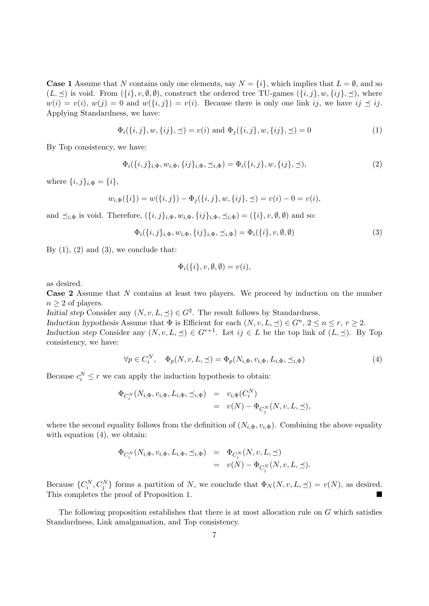**Case 1** Assume that N contains only one elements, say  $N = \{i\}$ , which implies that  $L = \emptyset$ , and so  $(L, \preceq)$  is void. From  $({i}, v, \emptyset, \emptyset)$ , construct the ordered tree TU-games  $({i}, j, w, \{ij\}, \preceq)$ , where  $w(i) = v(i), w(j) = 0$  and  $w(\{i, j\}) = v(i)$ . Because there is only one link ij, we have  $ij \preceq ij$ . Applying Standardness, we have:

$$
\Phi_i(\{i, j\}, w, \{ij\}, \preceq) = v(i) \text{ and } \Phi_j(\{i, j\}, w, \{ij\}, \preceq) = 0 \tag{1}
$$

By Top consistency, we have:

$$
\Phi_i(\{i,j\}_{i,\Phi}, w_{i,\Phi}, \{ij\}_{i,\Phi}, \preceq_{i,\Phi}) = \Phi_i(\{i,j\}, w, \{ij\}, \preceq),
$$
\n(2)

where  $\{i, j\}_{i, \Phi} = \{i\},\$ 

$$
w_{i,\Phi}(\{i\}) = w(\{i,j\}) - \Phi_j(\{i,j\}, w, \{ij\}, \preceq) = v(i) - 0 = v(i),
$$

and  $\preceq_{i,\Phi}$  is void. Therefore,  $({i, j}_{i,\Phi}, w_{i,\Phi}, {ij}_{i,\Phi}, \preceq_{i,\Phi}) = ({i}, v, \emptyset, \emptyset)$  and so:

$$
\Phi_i(\{i,j\}_{i,\Phi}, w_{i,\Phi}, \{ij\}_{i,\Phi}, \preceq_{i,\Phi}) = \Phi_i(\{i\}, v, \emptyset, \emptyset) \tag{3}
$$

By  $(1)$ ,  $(2)$  and  $(3)$ , we conclude that:

$$
\Phi_i(\{i\}, v, \emptyset, \emptyset) = v(i),
$$

as desired.

Case 2 Assume that N contains at least two players. We proceed by induction on the number  $n \geq 2$  of players.

Initial step Consider any  $(N, v, L, \preceq) \in G^2$ . The result follows by Standardness.

Induction hypothesis Assume that  $\Phi$  is Efficient for each  $(N, v, L, \preceq) \in G^n$ ,  $2 \le n \le r$ ,  $r \ge 2$ . Induction step Consider any  $(N, v, L, \preceq) \in G^{r+1}$ . Let  $ij \in L$  be the top link of  $(L, \preceq)$ . By Top consistency, we have:

$$
\forall p \in C_i^N, \quad \Phi_p(N, v, L, \preceq) = \Phi_p(N_{i, \Phi}, v_{i, \Phi}, L_{i, \Phi}, \preceq_{i, \Phi}) \tag{4}
$$

Because  $c_i^N \leq r$  we can apply the induction hypothesis to obtain:

$$
\begin{array}{rcl}\n\Phi_{C_i^N}(N_{i,\Phi}, v_{i,\Phi}, L_{i,\Phi}, \preceq_{i,\Phi}) & = & v_{i,\Phi}(C_i^N) \\
& = & v(N) - \Phi_{C_j^N}(N, v, L, \preceq),\n\end{array}
$$

where the second equality follows from the definition of  $(N_{i,\Phi}, v_{i,\Phi})$ . Combining the above equality with equation  $(4)$ , we obtain:

$$
\begin{array}{rcl}\n\Phi_{C_i^N}(N_{i,\Phi}, v_{i,\Phi}, L_{i,\Phi}, \preceq_{i,\Phi}) & = & \Phi_{C_i^N}(N, v, L, \preceq) \\
& = & v(N) - \Phi_{C_j^N}(N, v, L, \preceq).\n\end{array}
$$

Because  $\{C_i^N, C_j^N\}$  forms a partition of N, we conclude that  $\Phi_N(N, v, L, \preceq) = v(N)$ , as desired. This completes the proof of Proposition 1.

The following proposition establishes that there is at most allocation rule on G which satisfies Standardness, Link amalgamation, and Top consistency.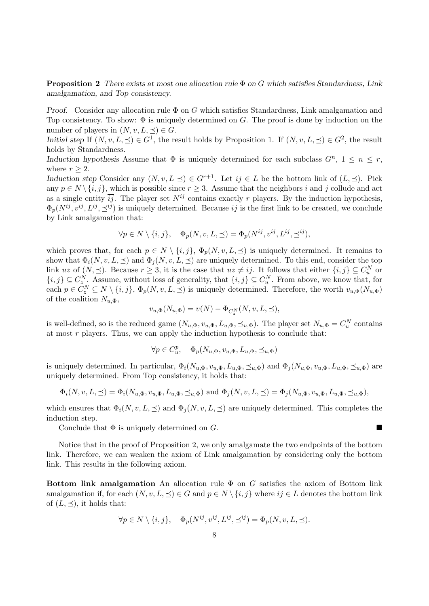**Proposition 2** There exists at most one allocation rule  $\Phi$  on G which satisfies Standardness, Link amalgamation, and Top consistency.

*Proof.* Consider any allocation rule  $\Phi$  on G which satisfies Standardness, Link amalgamation and Top consistency. To show:  $\Phi$  is uniquely determined on G. The proof is done by induction on the number of players in  $(N, v, L, \preceq) \in G$ .

Initial step If  $(N, v, L, \preceq) \in G^1$ , the result holds by Proposition 1. If  $(N, v, L, \preceq) \in G^2$ , the result holds by Standardness.

Induction hypothesis Assume that  $\Phi$  is uniquely determined for each subclass  $G^n$ ,  $1 \leq n \leq r$ , where  $r \geq 2$ .

Induction step Consider any  $(N, v, L \preceq) \in G^{r+1}$ . Let  $ij \in L$  be the bottom link of  $(L, \preceq)$ . Pick any  $p \in N \setminus \{i, j\}$ , which is possible since  $r \geq 3$ . Assume that the neighbors i and j collude and act as a single entity  $\overline{ij}$ . The player set  $N^{ij}$  contains exactly r players. By the induction hypothesis,  $\Phi_p(N^{ij}, v^{ij}, L^{ij}, \preceq^{ij})$  is uniquely determined. Because ij is the first link to be created, we conclude by Link amalgamation that:

$$
\forall p \in N \setminus \{i, j\}, \quad \Phi_p(N, v, L, \preceq) = \Phi_p(N^{ij}, v^{ij}, L^{ij}, \preceq^{ij}),
$$

which proves that, for each  $p \in N \setminus \{i, j\}, \Phi_p(N, v, L, \preceq)$  is uniquely determined. It remains to show that  $\Phi_i(N, v, L, \preceq)$  and  $\Phi_i(N, v, L, \preceq)$  are uniquely determined. To this end, consider the top link uz of  $(N, \leq)$ . Because  $r \geq 3$ , it is the case that  $uz \neq ij$ . It follows that either  $\{i, j\} \subseteq C_u^N$  or  $\{i, j\} \subseteq C_{z_{\lambda}N}^N$ . Assume, without loss of generality, that  $\{i, j\} \subseteq C_u^N$ . From above, we know that, for each  $p \in C_z^N \subseteq N \setminus \{i, j\}, \Phi_p(N, v, L, \preceq)$  is uniquely determined. Therefore, the worth  $v_{u, \Phi}(N_{u, \Phi})$ of the coalition  $N_{u,\Phi}$ ,

$$
v_{u,\Phi}(N_{u,\Phi}) = v(N) - \Phi_{C_z^N}(N, v, L, \preceq),
$$

is well-defined, so is the reduced game  $(N_{u,\Phi}, v_{u,\Phi}, L_{u,\Phi}, \preceq_{u,\Phi})$ . The player set  $N_{u,\Phi} = C_u^N$  contains at most  $r$  players. Thus, we can apply the induction hypothesis to conclude that:

$$
\forall p \in C_u^p, \quad \Phi_p(N_{u,\Phi}, v_{u,\Phi}, L_{u,\Phi}, \preceq_{u,\Phi})
$$

is uniquely determined. In particular,  $\Phi_i(N_{u,\Phi}, v_{u,\Phi}, L_{u,\Phi}, \preceq_{u,\Phi})$  and  $\Phi_i(N_{u,\Phi}, v_{u,\Phi}, L_{u,\Phi}, \preceq_{u,\Phi})$  are uniquely determined. From Top consistency, it holds that:

$$
\Phi_i(N, v, L, \preceq) = \Phi_i(N_{u, \Phi}, v_{u, \Phi}, L_{u, \Phi}, \preceq_{u, \Phi}) \text{ and } \Phi_j(N, v, L, \preceq) = \Phi_j(N_{u, \Phi}, v_{u, \Phi}, L_{u, \Phi}, \preceq_{u, \Phi}),
$$

which ensures that  $\Phi_i(N, v, L, \preceq)$  and  $\Phi_i(N, v, L, \preceq)$  are uniquely determined. This completes the induction step.

Conclude that  $\Phi$  is uniquely determined on G.

Notice that in the proof of Proposition 2, we only amalgamate the two endpoints of the bottom link. Therefore, we can weaken the axiom of Link amalgamation by considering only the bottom link. This results in the following axiom.

Bottom link amalgamation An allocation rule  $\Phi$  on G satisfies the axiom of Bottom link amalgamation if, for each  $(N, v, L, \preceq) \in G$  and  $p \in N \setminus \{i, j\}$  where  $ij \in L$  denotes the bottom link of  $(L, \prec)$ , it holds that:

$$
\forall p \in N \setminus \{i, j\}, \quad \Phi_p(N^{ij}, v^{ij}, L^{ij}, \preceq^{ij}) = \Phi_p(N, v, L, \preceq).
$$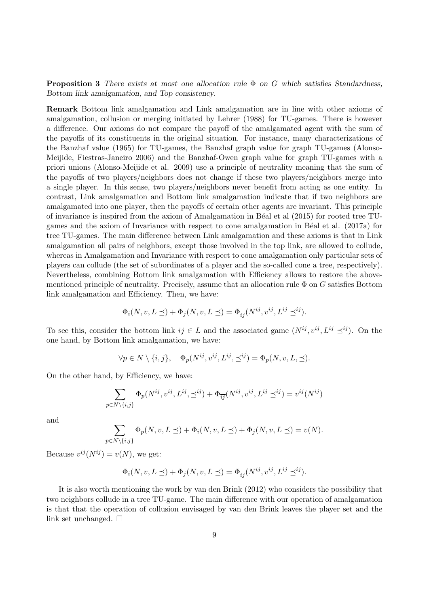**Proposition 3** There exists at most one allocation rule  $\Phi$  on G which satisfies Standardness, Bottom link amalgamation, and Top consistency.

Remark Bottom link amalgamation and Link amalgamation are in line with other axioms of amalgamation, collusion or merging initiated by Lehrer (1988) for TU-games. There is however a difference. Our axioms do not compare the payoff of the amalgamated agent with the sum of the payoffs of its constituents in the original situation. For instance, many characterizations of the Banzhaf value (1965) for TU-games, the Banzhaf graph value for graph TU-games (Alonso-Meijide, Fiestras-Janeiro 2006) and the Banzhaf-Owen graph value for graph TU-games with a priori unions (Alonso-Meijide et al. 2009) use a principle of neutrality meaning that the sum of the payoffs of two players/neighbors does not change if these two players/neighbors merge into a single player. In this sense, two players/neighbors never benefit from acting as one entity. In contrast, Link amalgamation and Bottom link amalgamation indicate that if two neighbors are amalgamated into one player, then the payoffs of certain other agents are invariant. This principle of invariance is inspired from the axiom of Amalgamation in B´eal et al (2015) for rooted tree TUgames and the axiom of Invariance with respect to cone amalgamation in Béal et al.  $(2017a)$  for tree TU-games. The main difference between Link amalgamation and these axioms is that in Link amalgamation all pairs of neighbors, except those involved in the top link, are allowed to collude, whereas in Amalgamation and Invariance with respect to cone amalgamation only particular sets of players can collude (the set of subordinates of a player and the so-called cone a tree, respectively). Nevertheless, combining Bottom link amalgamation with Efficiency allows to restore the abovementioned principle of neutrality. Precisely, assume that an allocation rule  $\Phi$  on G satisfies Bottom link amalgamation and Efficiency. Then, we have:

$$
\Phi_i(N, v, L \preceq) + \Phi_j(N, v, L \preceq) = \Phi_{\overline{ij}}(N^{ij}, v^{ij}, L^{ij} \preceq^{ij}).
$$

To see this, consider the bottom link  $ij \in L$  and the associated game  $(N^{ij}, v^{ij}, L^{ij} \preceq^{ij})$ . On the one hand, by Bottom link amalgamation, we have:

$$
\forall p \in N \setminus \{i, j\}, \quad \Phi_p(N^{ij}, v^{ij}, L^{ij}, \preceq^{ij}) = \Phi_p(N, v, L, \preceq).
$$

On the other hand, by Efficiency, we have:

$$
\sum_{p \in N \setminus \{i,j\}} \Phi_p(N^{ij}, v^{ij}, L^{ij}, \preceq^{ij}) + \Phi_{\overline{ij}}(N^{ij}, v^{ij}, L^{ij} \preceq^{ij}) = v^{ij}(N^{ij})
$$

and

$$
\sum_{p \in N \setminus \{i,j\}} \Phi_p(N, v, L \preceq) + \Phi_i(N, v, L \preceq) + \Phi_j(N, v, L \preceq) = v(N).
$$

Because  $v^{ij}(N^{ij}) = v(N)$ , we get:

$$
\Phi_i(N, v, L \preceq) + \Phi_j(N, v, L \preceq) = \Phi_{\overline{ij}}(N^{ij}, v^{ij}, L^{ij} \preceq^{ij}).
$$

It is also worth mentioning the work by van den Brink (2012) who considers the possibility that two neighbors collude in a tree TU-game. The main difference with our operation of amalgamation is that that the operation of collusion envisaged by van den Brink leaves the player set and the link set unchanged.  $\square$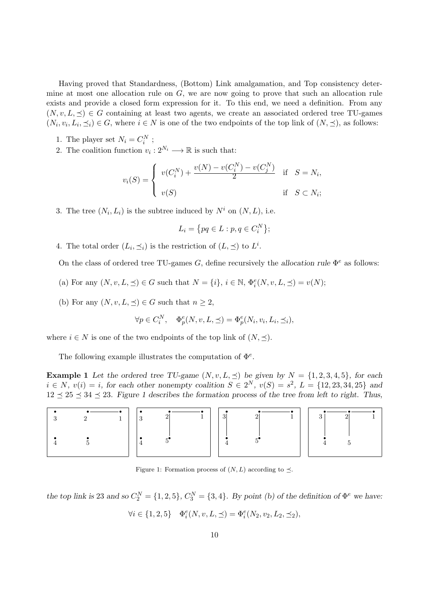Having proved that Standardness, (Bottom) Link amalgamation, and Top consistency determine at most one allocation rule on  $G$ , we are now going to prove that such an allocation rule exists and provide a closed form expression for it. To this end, we need a definition. From any  $(N, v, L, \preceq) \in G$  containing at least two agents, we create an associated ordered tree TU-games  $(N_i, v_i, L_i, \preceq_i) \in G$ , where  $i \in N$  is one of the two endpoints of the top link of  $(N, \preceq)$ , as follows:

- 1. The player set  $N_i = C_i^N$ ;
- 2. The coalition function  $v_i: 2^{N_i} \longrightarrow \mathbb{R}$  is such that:

$$
v_i(S) = \begin{cases} v(C_i^N) + \frac{v(N) - v(C_i^N) - v(C_j^N)}{2} & \text{if } S = N_i, \\ v(S) & \text{if } S \subset N_i; \end{cases}
$$

3. The tree  $(N_i, L_i)$  is the subtree induced by  $N^i$  on  $(N, L)$ , i.e.

$$
L_i = \{ pq \in L : p, q \in C_i^N \};
$$

4. The total order  $(L_i, \preceq_i)$  is the restriction of  $(L, \preceq)$  to  $L^i$ .

On the class of ordered tree TU-games G, define recursively the allocation rule  $\Phi^e$  as follows:

- (a) For any  $(N, v, L, \preceq) \in G$  such that  $N = \{i\}, i \in \mathbb{N}, \Phi_i^e(N, v, L, \preceq) = v(N);$
- (b) For any  $(N, v, L, \preceq) \in G$  such that  $n \geq 2$ ,

$$
\forall p \in C_i^N, \quad \Phi_p^e(N, v, L, \preceq) = \Phi_p^e(N_i, v_i, L_i, \preceq_i),
$$

where  $i \in N$  is one of the two endpoints of the top link of  $(N, \preceq)$ .

The following example illustrates the computation of  $\Phi^e$ .

**Example 1** Let the ordered tree TU-game  $(N, v, L, \preceq)$  be given by  $N = \{1, 2, 3, 4, 5\}$ , for each  $i \in N$ ,  $v(i) = i$ , for each other nonempty coalition  $S \in 2^N$ ,  $v(S) = s^2$ ,  $L = \{12, 23, 34, 25\}$  and  $12 \leq 25 \leq 34 \leq 23$ . Figure 1 describes the formation process of the tree from left to right. Thus,



Figure 1: Formation process of  $(N, L)$  according to  $\preceq$ .

the top link is 23 and so  $C_2^N = \{1, 2, 5\}$ ,  $C_3^N = \{3, 4\}$ . By point (b) of the definition of  $\Phi^e$  we have:

$$
\forall i \in \{1, 2, 5\} \quad \Phi_i^e(N, v, L, \preceq) = \Phi_i^e(N_2, v_2, L_2, \preceq_2),
$$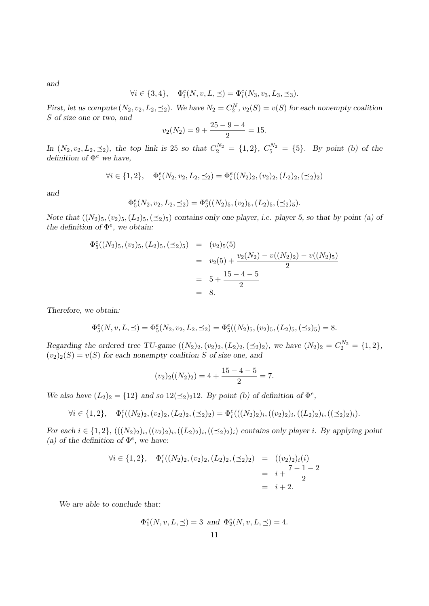and

$$
\forall i \in \{3,4\}, \quad \Phi_i^e(N,v,L,\preceq)=\Phi_i^e(N_3,v_3,L_3,\preceq_3).
$$

First, let us compute  $(N_2, v_2, L_2, \preceq_2)$ . We have  $N_2 = C_2^N$ ,  $v_2(S) = v(S)$  for each nonempty coalition S of size one or two, and

$$
v_2(N_2) = 9 + \frac{25 - 9 - 4}{2} = 15.
$$

In  $(N_2, v_2, L_2, \preceq_2)$ , the top link is 25 so that  $C_2^{N_2} = \{1, 2\}$ ,  $C_5^{N_2} = \{5\}$ . By point (b) of the definition of  $\Phi^e$  we have,

$$
\forall i \in \{1, 2\}, \quad \Phi_i^e(N_2, v_2, L_2, \preceq_2) = \Phi_i^e((N_2)_2, (v_2)_2, (L_2)_2, (\preceq_2)_2)
$$

and

$$
\Phi_5^e(N_2, v_2, L_2, \preceq_2) = \Phi_5^e((N_2)_5, (v_2)_5, (L_2)_5, (\preceq_2)_5).
$$

Note that  $((N_2)_5,(v_2)_5,(L_2)_5)(\leq_2)_5$  contains only one player, i.e. player 5, so that by point (a) of the definition of  $\Phi^e$ , we obtain:

$$
\Phi_5^e((N_2)_5, (v_2)_5, (L_2)_5, (\preceq_2)_5) = (v_2)_5(5)
$$
  
=  $v_2(5) + \frac{v_2(N_2) - v((N_2)_2) - v((N_2)_5)}{2}$   
=  $5 + \frac{15 - 4 - 5}{2}$   
= 8.

Therefore, we obtain:

$$
\Phi_5^e(N, v, L, \preceq) = \Phi_5^e(N_2, v_2, L_2, \preceq_2) = \Phi_5^e((N_2)_5, (v_2)_5, (L_2)_5, (\preceq_2)_5) = 8.
$$

Regarding the ordered tree TU-game  $((N_2)_2, (v_2)_2, (L_2)_2, (\preceq_2)_2)$ , we have  $(N_2)_2 = C_2^{N_2} = \{1, 2\}$ ,  $(v_2)_2(S) = v(S)$  for each nonempty coalition S of size one, and

$$
(v_2)_2((N_2)_2) = 4 + \frac{15 - 4 - 5}{2} = 7.
$$

We also have  $(L_2)_2 = \{12\}$  and so  $12(\preceq_2)_212$ . By point (b) of definition of  $\Phi^e$ ,

$$
\forall i \in \{1, 2\}, \quad \Phi_i^e((N_2)_2, (v_2)_2, (L_2)_2, (\preceq_2)_2) = \Phi_i^e(((N_2)_2)_i, ((v_2)_2)_i, ((L_2)_2)_i, ((\preceq_2)_2)_i).
$$

For each  $i \in \{1,2\}$ ,  $(((N_2)_2)_i, ((v_2)_2)_i, ((\leq_2)_2)_i)$  contains only player i. By applying point (a) of the definition of  $\Phi^e$ , we have:

$$
\forall i \in \{1, 2\}, \quad \Phi_i^e((N_2)_2, (v_2)_2, (L_2)_2, (\preceq_2)_2) = ((v_2)_2)_i(i)
$$
  
=  $i + \frac{7 - 1 - 2}{2}$   
=  $i + 2$ .

We are able to conclude that:

$$
\Phi_1^e(N, v, L, \preceq) = 3
$$
 and  $\Phi_2^e(N, v, L, \preceq) = 4$ .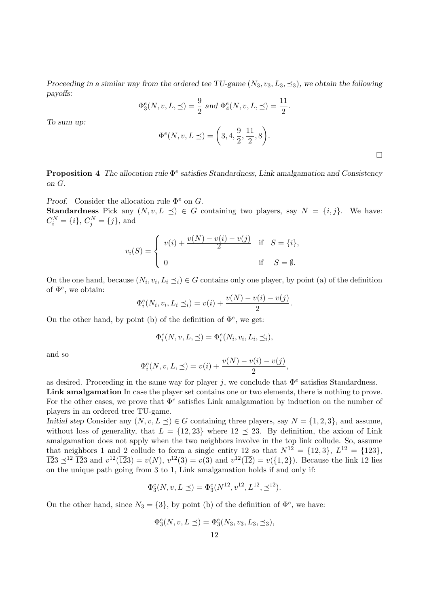Proceeding in a similar way from the ordered tee TU-game  $(N_3, v_3, L_3, \preceq_3)$ , we obtain the following payoffs:

$$
\Phi_3^e(N, v, L, \preceq) = \frac{9}{2}
$$
 and  $\Phi_4^e(N, v, L, \preceq) = \frac{11}{2}$ .

To sum up:

$$
\Phi^{e}(N, v, L \preceq) = \left(3, 4, \frac{9}{2}, \frac{11}{2}, 8\right).
$$

 $\Box$ 

**Proposition 4** The allocation rule  $\Phi^e$  satisfies Standardness, Link amalgamation and Consistency on G.

Proof. Consider the allocation rule  $\Phi^e$  on G. **Standardness** Pick any  $(N, v, L \preceq) \in G$  containing two players, say  $N = \{i, j\}$ . We have:  $C_i^N = \{i\}, C_j^N = \{j\}, \text{and}$ 

$$
v_i(S) = \begin{cases} v(i) + \frac{v(N) - v(i) - v(j)}{2} & \text{if } S = \{i\}, \\ 0 & \text{if } S = \emptyset. \end{cases}
$$

On the one hand, because  $(N_i, v_i, L_i \preceq_i) \in G$  contains only one player, by point (a) of the definition of  $\Phi^e$ , we obtain:

$$
\Phi_i^e(N_i, v_i, L_i \preceq_i) = v(i) + \frac{v(N) - v(i) - v(j)}{2}.
$$

On the other hand, by point (b) of the definition of  $\Phi^e$ , we get:

$$
\Phi_i^e(N, v, L, \preceq) = \Phi_i^e(N_i, v_i, L_i, \preceq_i),
$$

and so

$$
\Phi_i^e(N, v, L, \preceq) = v(i) + \frac{v(N) - v(i) - v(j)}{2},
$$

as desired. Proceeding in the same way for player j, we conclude that  $\Phi^e$  satisfies Standardness.

Link amalgamation In case the player set contains one or two elements, there is nothing to prove. For the other cases, we prove that  $\Phi^e$  satisfies Link amalgamation by induction on the number of players in an ordered tree TU-game.

Initial step Consider any  $(N, v, L \prec) \in G$  containing three players, say  $N = \{1, 2, 3\}$ , and assume, without loss of generality, that  $L = \{12, 23\}$  where  $12 \preceq 23$ . By definition, the axiom of Link amalgamation does not apply when the two neighbors involve in the top link collude. So, assume that neighbors 1 and 2 collude to form a single entity  $\overline{12}$  so that  $N^{12} = {\overline{12}}, 3$ ,  $L^{12} = {\overline{12}}3$ ,  $\overline{123} \preceq^{12} \overline{123}$  and  $v^{12}(\overline{123}) = v(N)$ ,  $v^{12}(3) = v(3)$  and  $v^{12}(\overline{12}) = v(\{1, 2\})$ . Because the link 12 lies on the unique path going from 3 to 1, Link amalgamation holds if and only if:

$$
\Phi_3^e(N, v, L \preceq) = \Phi_3^e(N^{12}, v^{12}, L^{12}, \preceq^{12}).
$$

On the other hand, since  $N_3 = \{3\}$ , by point (b) of the definition of  $\Phi^e$ , we have:

$$
\Phi_3^e(N,v,L\preceq)=\Phi_3^e(N_3,v_3,L_3,\preceq_3),
$$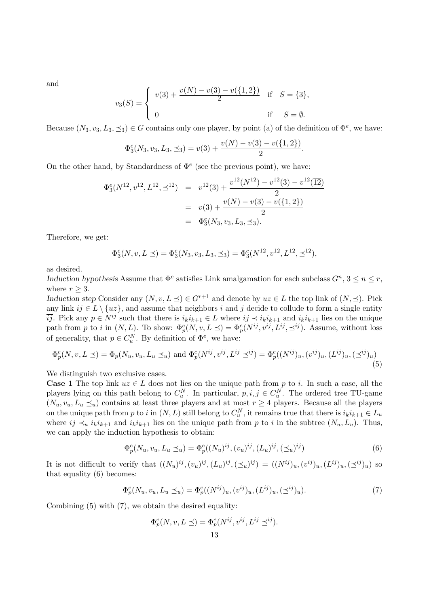and

$$
v_3(S) = \begin{cases} v(3) + \frac{v(N) - v(3) - v(\{1, 2\})}{2} & \text{if } S = \{3\}, \\ 0 & \text{if } S = \emptyset. \end{cases}
$$

Because  $(N_3, v_3, L_3, \leq_3) \in G$  contains only one player, by point (a) of the definition of  $\Phi^e$ , we have:

$$
\Phi_3^e(N_3, v_3, L_3, \preceq_3) = v(3) + \frac{v(N) - v(3) - v(\{1, 2\})}{2}.
$$

On the other hand, by Standardness of  $\Phi^e$  (see the previous point), we have:

$$
\Phi_3^e(N^{12}, v^{12}, L^{12}, \preceq^{12}) = v^{12}(3) + \frac{v^{12}(N^{12}) - v^{12}(3) - v^{12}(12)}{2}
$$
  
=  $v(3) + \frac{v(N) - v(3) - v(\{1, 2\})}{2}$   
=  $\Phi_3^e(N_3, v_3, L_3, \preceq_3).$ 

Therefore, we get:

$$
\Phi_3^e(N, v, L \preceq) = \Phi_3^e(N_3, v_3, L_3, \preceq_3) = \Phi_3^e(N^{12}, v^{12}, L^{12}, \preceq^{12}),
$$

as desired.

Induction hypothesis Assume that  $\Phi^e$  satisfies Link amalgamation for each subclass  $G^n$ ,  $3 \le n \le r$ , where  $r > 3$ .

Induction step Consider any  $(N, v, L \preceq) \in G^{r+1}$  and denote by  $uz \in L$  the top link of  $(N, \preceq)$ . Pick any link  $ij \in L \setminus \{uz\}$ , and assume that neighbors i and j decide to collude to form a single entity  $i\overline{ij}$ . Pick any  $p \in N^{ij}$  such that there is  $i_k i_{k+1} \in L$  where  $ij \prec i_k i_{k+1}$  and  $i_k i_{k+1}$  lies on the unique path from p to i in  $(N, L)$ . To show:  $\Phi_p^e(N, v, L \preceq) = \Phi_p^e(N^{ij}, v^{ij}, L^{ij}, \preceq^{ij})$ . Assume, without loss of generality, that  $p \in C_u^N$ . By definition of  $\Phi^e$ , we have:

$$
\Phi_p^e(N, v, L \preceq) = \Phi_p(N_u, v_u, L_u \preceq_u) \text{ and } \Phi_p^e(N^{ij}, v^{ij}, L^{ij} \preceq^{ij}) = \Phi_p^e((N^{ij})_u, (v^{ij})_u, (L^{ij})_u, (\preceq^{ij})_u)
$$
\n(5)

We distinguish two exclusive cases.

**Case 1** The top link  $uz \in L$  does not lies on the unique path from p to i. In such a case, all the players lying on this path belong to  $C_u^N$ . In particular,  $p, i, j \in C_u^N$ . The ordered tree TU-game  $(N_u, v_u, L_u \preceq_u)$  contains at least three players and at most  $r \geq 4$  players. Because all the players on the unique path from p to i in  $(N, L)$  still belong to  $C_u^N$ , it remains true that there is  $i_k i_{k+1} \in L_u$ where  $ij \prec_u i_k i_{k+1}$  and  $i_k i_{k+1}$  lies on the unique path from p to i in the subtree  $(N_u, L_u)$ . Thus, we can apply the induction hypothesis to obtain:

$$
\Phi_p^e(N_u, v_u, L_u \preceq_u) = \Phi_p^e((N_u)^{ij}, (v_u)^{ij}, (L_u)^{ij}, (\preceq_u)^{ij})
$$
\n(6)

It is not difficult to verify that  $((N_u)^{ij}, (v_u)^{ij}, (L_u)^{ij}, (\preceq_u)^{ij}) = ((N^{ij})_u, (v^{ij})_u, (L^{ij})_u, (\preceq^{ij})_u)$  so that equality (6) becomes:

$$
\Phi_p^e(N_u, v_u, L_u \preceq_u) = \Phi_p^e((N^{ij})_u, (v^{ij})_u, (L^{ij})_u, (\preceq^{ij})_u). \tag{7}
$$

Combining (5) with (7), we obtain the desired equality:

$$
\Phi_p^e(N, v, L \preceq) = \Phi_p^e(N^{ij}, v^{ij}, L^{ij} \preceq^{ij}).
$$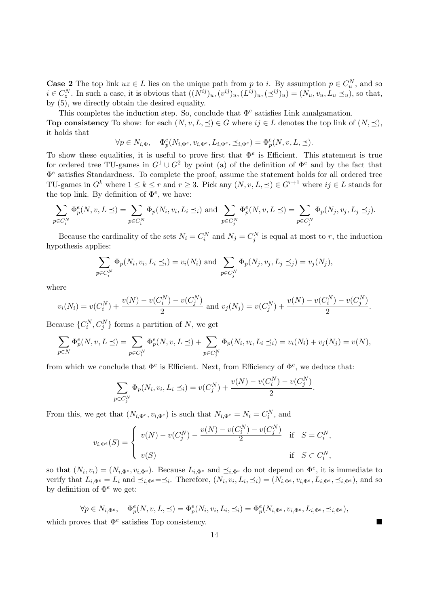**Case 2** The top link  $uz \in L$  lies on the unique path from p to i. By assumption  $p \in C_u^N$ , and so  $i \in C_z^N$ . In such a case, it is obvious that  $((N^{ij})_u, (v^{ij})_u, (L^{ij})_u, (\preceq^{ij})_u) = (N_u, v_u, L_u \preceq_u)$ , so that, by (5), we directly obtain the desired equality.

This completes the induction step. So, conclude that  $\Phi^e$  satisfies Link amalgamation.

**Top consistency** To show: for each  $(N, v, L, \preceq) \in G$  where  $ij \in L$  denotes the top link of  $(N, \preceq)$ , it holds that

$$
\forall p \in N_{i,\Phi}, \quad \Phi_p^e(N_{i,\Phi^e}, v_{i,\Phi^e}, L_{i,\Phi^e}, \preceq_{i,\Phi^e}) = \Phi_p^e(N, v, L, \preceq).
$$

To show these equalities, it is useful to prove first that  $\Phi^e$  is Efficient. This statement is true for ordered tree TU-games in  $G^1 \cup G^2$  by point (a) of the definition of  $\Phi^e$  and by the fact that Φ e satisfies Standardness. To complete the proof, assume the statement holds for all ordered tree TU-games in  $G^k$  where  $1 \leq k \leq r$  and  $r \geq 3$ . Pick any  $(N, v, L, \preceq) \in G^{r+1}$  where  $ij \in L$  stands for the top link. By definition of  $\Phi^e$ , we have:

$$
\sum_{p \in C_i^N} \Phi_p^e(N, v, L \preceq) = \sum_{p \in C_i^N} \Phi_p(N_i, v_i, L_i \preceq_i) \text{ and } \sum_{p \in C_j^N} \Phi_p^e(N, v, L \preceq) = \sum_{p \in C_j^N} \Phi_p(N_j, v_j, L_j \preceq_j).
$$

Because the cardinality of the sets  $N_i = C_i^N$  and  $N_j = C_j^N$  is equal at most to r, the induction hypothesis applies:

$$
\sum_{p \in C_i^N} \Phi_p(N_i, v_i, L_i \preceq_i) = v_i(N_i) \text{ and } \sum_{p \in C_j^N} \Phi_p(N_j, v_j, L_j \preceq_j) = v_j(N_j),
$$

where

$$
v_i(N_i) = v(C_i^N) + \frac{v(N) - v(C_i^N) - v(C_j^N)}{2}
$$
 and 
$$
v_j(N_j) = v(C_j^N) + \frac{v(N) - v(C_i^N) - v(C_j^N)}{2}.
$$

Because  $\{C_i^N, C_j^N\}$  forms a partition of N, we get

$$
\sum_{p \in N} \Phi_p^e(N, v, L \preceq) = \sum_{p \in C_i^N} \Phi_p^e(N, v, L \preceq) + \sum_{p \in C_j^N} \Phi_p(N_i, v_i, L_i \preceq_i) = v_i(N_i) + v_j(N_j) = v(N),
$$

from which we conclude that  $\Phi^e$  is Efficient. Next, from Efficiency of  $\Phi^e$ , we deduce that:

$$
\sum_{p \in C_j^N} \Phi_p(N_i, v_i, L_i \preceq_i) = v(C_j^N) + \frac{v(N) - v(C_i^N) - v(C_j^N)}{2}.
$$

From this, we get that  $(N_{i, \Phi^e}, v_{i, \Phi^e})$  is such that  $N_{i, \Phi^e} = N_i = C_i^N$ , and

$$
v_{i,\Phi^e}(S) = \begin{cases} v(N) - v(C_j^N) - \frac{v(N) - v(C_i^N) - v(C_j^N)}{2} & \text{if } S = C_i^N, \\ v(S) & \text{if } S \subset C_i^N, \end{cases}
$$

so that  $(N_i, v_i) = (N_{i, \Phi^e}, v_{i, \Phi^e})$ . Because  $L_{i, \Phi^e}$  and  $\preceq_{i, \Phi^e}$  do not depend on  $\Phi^e$ , it is immediate to verify that  $L_{i,\Phi^e} = L_i$  and  $\preceq_{i,\Phi^e} = \preceq_i$ . Therefore,  $(N_i, v_i, L_i, \preceq_i) = (N_{i,\Phi^e}, v_{i,\Phi^e}, L_{i,\Phi^e}, \preceq_{i,\Phi^e})$ , and so by definition of  $\Phi^e$  we get:

$$
\forall p \in N_{i, \Phi^e}, \quad \Phi_p^e(N, v, L, \preceq) = \Phi_p^e(N_i, v_i, L_i, \preceq_i) = \Phi_p^e(N_{i, \Phi^e}, v_{i, \Phi^e}, L_{i, \Phi^e}, \preceq_{i, \Phi^e}),
$$

which proves that  $\Phi^e$  satisfies Top consistency.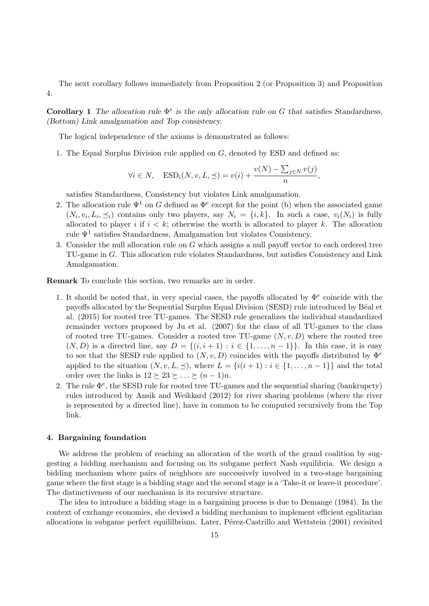The next corollary follows immediately from Proposition 2 (or Proposition 3) and Proposition 4.

Corollary 1 The allocation rule  $\Phi^e$  is the only allocation rule on G that satisfies Standardness, (Bottom) Link amalgamation and Top consistency.

The logical independence of the axioms is demonstrated as follows:

1. The Equal Surplus Division rule applied on G, denoted by ESD and defined as:

$$
\forall i \in N, \quad \text{ESD}_i(N, v, L, \preceq) = v(i) + \frac{v(N) - \sum_{j \in N} v(j)}{n},
$$

satisfies Standardness, Consistency but violates Link amalgamation.

- 2. The allocation rule  $\Psi^1$  on G defined as  $\Phi^e$  except for the point (b) when the associated game  $(N_i, v_i, L_i, \preceq_i)$  contains only two players, say  $N_i = \{i, k\}$ . In such a case,  $v_i(N_i)$  is fully allocated to player i if  $i < k$ ; otherwise the worth is allocated to player k. The allocation rule  $\Psi^1$  satisfies Standardness, Amalgamation but violates Consistency.
- 3. Consider the null allocation rule on G which assigns a null payoff vector to each ordered tree TU-game in G. This allocation rule violates Standardness, but satisfies Consistency and Link Amalgamation.

Remark To conclude this section, two remarks are in order.

- 1. It should be noted that, in very special cases, the payoffs allocated by  $\Phi^e$  coincide with the payoffs allocated by the Sequential Surplus Equal Division (SESD) rule introduced by Béal et al. (2015) for rooted tree TU-games. The SESD rule generalizes the individual standardized remainder vectors proposed by Ju et al. (2007) for the class of all TU-games to the class of rooted tree TU-games. Consider a rooted tree TU-game  $(N, v, D)$  where the rooted tree  $(N, D)$  is a directed line, say  $D = \{(i, i + 1) : i \in \{1, \ldots, n-1\}\}\.$  In this case, it is easy to see that the SESD rule applied to  $(N, v, D)$  coincides with the payoffs distributed by  $\Phi^e$ applied to the situation  $(N, v, L, \preceq)$ , where  $L = \{i(i+1) : i \in \{1, ..., n-1\}\}\$  and the total order over the links is  $12 \succeq 23 \succeq \ldots \succeq (n-1)n$ .
- 2. The rule  $\Phi^e$ , the SESD rule for rooted tree TU-games and the sequential sharing (bankrupcty) rules introduced by Ansik and Weikkard (2012) for river sharing problems (where the river is represented by a directed line), have in common to be computed recursively from the Top link.

#### 4. Bargaining foundation

We address the problem of reaching an allocation of the worth of the grand coalition by suggesting a bidding mechanism and focusing on its subgame perfect Nash equilibria. We design a bidding mechanism where pairs of neighbors are successively involved in a two-stage bargaining game where the first stage is a bidding stage and the second stage is a 'Take-it or leave-it procedure'. The distinctiveness of our mechanism is its recursive structure.

The idea to introduce a bidding stage in a bargaining process is due to Demange (1984). In the context of exchange economies, she devised a bidding mechanism to implement efficient egalitarian allocations in subgame perfect equililbrium. Later, Pérez-Castrillo and Wettstein (2001) revisited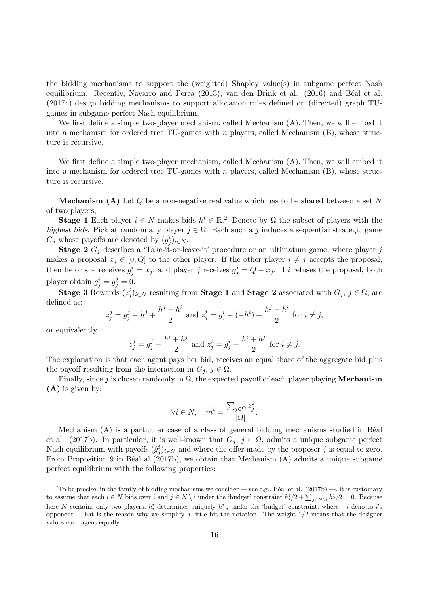the bidding mechanisms to support the (weighted) Shapley value(s) in subgame perfect Nash equilibrium. Recently, Navarro and Perea (2013), van den Brink et al. (2016) and Béal et al. (2017c) design bidding mechanisms to support allocation rules defined on (directed) graph TUgames in subgame perfect Nash equilibrium.

We first define a simple two-player mechanism, called Mechanism  $(A)$ . Then, we will embed it into a mechanism for ordered tree TU-games with  $n$  players, called Mechanism  $(B)$ , whose structure is recursive.

We first define a simple two-player mechanism, called Mechanism  $(A)$ . Then, we will embed it into a mechanism for ordered tree TU-games with  $n$  players, called Mechanism  $(B)$ , whose structure is recursive.

**Mechanism (A)** Let  $Q$  be a non-negative real value which has to be shared between a set N of two players,

**Stage 1** Each player  $i \in N$  makes bids  $h^i \in \mathbb{R}^2$ . Denote by  $\Omega$  the subset of players with the highest bids. Pick at random any player  $j \in \Omega$ . Each such a j induces a sequential strategic game  $G_j$  whose payoffs are denoted by  $(g_j^i)_{i \in N}$ .

**Stage 2**  $G_i$  describes a 'Take-it-or-leave-it' procedure or an ultimatum game, where player j makes a proposal  $x_j \in [0, Q]$  to the other player. If the other player  $i \neq j$  accepts the proposal, then he or she receives  $g_j^i = x_j$ , and player j receives  $g_j^j = Q - x_j$ . If i refuses the proposal, both player obtain  $g_j^i = g_j^j = 0$ .

Stage 3 Rewards  $(z_j^i)_{i \in N}$  resulting from Stage 1 and Stage 2 associated with  $G_j$ ,  $j \in \Omega$ , are defined as:

$$
z_j^j = g_j^j - h^j + \frac{h^j - h^i}{2}
$$
 and 
$$
z_j^i = g_j^i - (-h^i) + \frac{h^j - h^i}{2}
$$
 for  $i \neq j$ ,

or equivalently

$$
z_j^j = g_j^j - \frac{h^i + h^j}{2}
$$
 and  $z_j^i = g_j^i + \frac{h^i + h^j}{2}$  for  $i \neq j$ .

The explanation is that each agent pays her bid, receives an equal share of the aggregate bid plus the payoff resulting from the interaction in  $G_j, j \in \Omega$ .

Finally, since j is chosen randomly in  $\Omega$ , the expected payoff of each player playing **Mechanism** (A) is given by:

$$
\forall i \in N, \quad m^i = \frac{\sum_{j \in \Omega} z_j^i}{|\Omega|}.
$$

Mechanism  $(A)$  is a particular case of a class of general bidding mechanisms studied in Béal et al. (2017b). In particular, it is well-known that  $G_j$ ,  $j \in \Omega$ , admits a unique subgame perfect Nash equilibrium with payoffs  $(\hat{g}_j^i)_{i \in N}$  and where the offer made by the proposer j is equal to zero. From Proposition 9 in Béal al  $(2017b)$ , we obtain that Mechanism  $(A)$  admits a unique subgame perfect equilibrium with the following properties:

<sup>&</sup>lt;sup>2</sup>To be precise, in the family of bidding mechanisms we consider — see e.g., Béal et al. (2017b) —, it is customary to assume that each  $i \in N$  bids over i and  $j \in N \setminus i$  under the 'budget' constraint  $h_i^i/2 + \sum_{j \in N \setminus i} h_j^i/2 = 0$ . Because here N contains only two players,  $h_i^i$  determines uniquely  $h_{-i}^i$  under the 'budget' constraint, where  $-i$  denotes i's opponent. That is the reason why we simplify a little bit the notation. The weight  $1/2$  means that the designer values each agent equally. .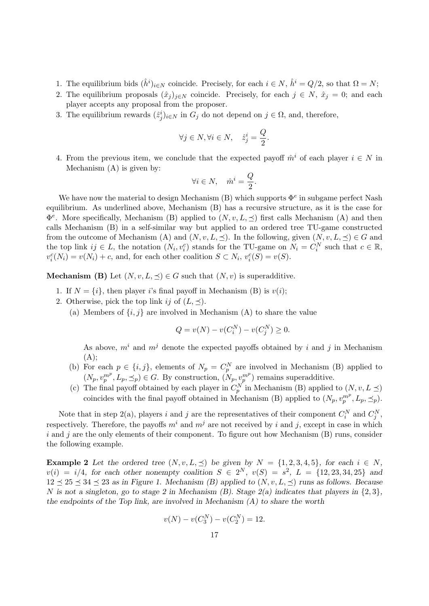- 1. The equilibrium bids  $(\hat{h}^i)_{i \in N}$  coincide. Precisely, for each  $i \in N$ ,  $\hat{h}^i = Q/2$ , so that  $\Omega = N$ ;
- 2. The equilibrium proposals  $(\hat{x}_j)_{j\in\mathbb{N}}$  coincide. Precisely, for each  $j \in \mathbb{N}$ ,  $\hat{x}_j = 0$ ; and each player accepts any proposal from the proposer.
- 3. The equilibrium rewards  $(\hat{z}_j^i)_{i \in N}$  in  $G_j$  do not depend on  $j \in \Omega$ , and, therefore,

$$
\forall j \in N, \forall i \in N, \quad \hat{z}_j^i = \frac{Q}{2}.
$$

4. From the previous item, we conclude that the expected payoff  $\hat{m}^i$  of each player  $i \in N$  in Mechanism (A) is given by:

$$
\forall i \in N, \quad \hat{m}^i = \frac{Q}{2}.
$$

We have now the material to design Mechanism (B) which supports  $\Phi^e$  in subgame perfect Nash equilibrium. As underlined above, Mechanism (B) has a recursive structure, as it is the case for  $\Phi^e$ . More specifically, Mechanism (B) applied to  $(N, v, L, \preceq)$  first calls Mechanism (A) and then calls Mechanism (B) in a self-similar way but applied to an ordered tree TU-game constructed from the outcome of Mechanism (A) and  $(N, v, L, \preceq)$ . In the following, given  $(N, v, L, \preceq) \in G$  and the top link  $ij \in L$ , the notation  $(N_i, v_i^c)$  stands for the TU-game on  $N_i = C_i^N$  such that  $c \in \mathbb{R}$ ,  $v_i^c(N_i) = v(N_i) + c$ , and, for each other coalition  $S \subset N_i$ ,  $v_i^c(S) = v(S)$ .

**Mechanism (B)** Let  $(N, v, L, \preceq) \in G$  such that  $(N, v)$  is superadditive.

- 1. If  $N = \{i\}$ , then player i's final payoff in Mechanism (B) is  $v(i)$ ;
- 2. Otherwise, pick the top link ij of  $(L, \preceq)$ .
	- (a) Members of  $\{i, j\}$  are involved in Mechanism (A) to share the value

$$
Q = v(N) - v(C_i^N) - v(C_j^N) \ge 0.
$$

As above,  $m^i$  and  $m^j$  denote the expected payoffs obtained by i and j in Mechanism  $(A);$ 

- (b) For each  $p \in \{i, j\}$ , elements of  $N_p = C_p^N$  are involved in Mechanism (B) applied to  $(N_p, v_p^{m^p}, L_p, \preceq_p) \in G$ . By construction,  $(N_p, v_p^{m^p})$  remains superadditive.
- (c) The final payoff obtained by each player in  $C_p^N$  in Mechanism (B) applied to  $(N, v, L \preceq)$ coincides with the final payoff obtained in Mechanism (B) applied to  $(N_p, v_p^{m^p}, L_p, \preceq_p)$ .

Note that in step 2(a), players i and j are the representatives of their component  $C_i^N$  and  $C_j^N$ , respectively. Therefore, the payoffs  $m<sup>i</sup>$  and  $m<sup>j</sup>$  are not received by i and j, except in case in which  $i$  and  $j$  are the only elements of their component. To figure out how Mechanism (B) runs, consider the following example.

Example 2 Let the ordered tree  $(N, v, L, \preceq)$  be given by  $N = \{1, 2, 3, 4, 5\}$ , for each  $i \in N$ ,  $v(i) = i/4$ , for each other nonempty coalition  $S \in 2^N$ ,  $v(S) = s^2$ ,  $L = \{12, 23, 34, 25\}$  and  $12 \leq 25 \leq 34 \leq 23$  as in Figure 1. Mechanism (B) applied to  $(N, v, L, \leq)$  runs as follows. Because N is not a singleton, go to stage 2 in Mechanism (B). Stage  $2(a)$  indicates that players in  $\{2,3\}$ , the endpoints of the Top link, are involved in Mechanism  $(A)$  to share the worth

$$
v(N) - v(C_3^N) - v(C_2^N) = 12.
$$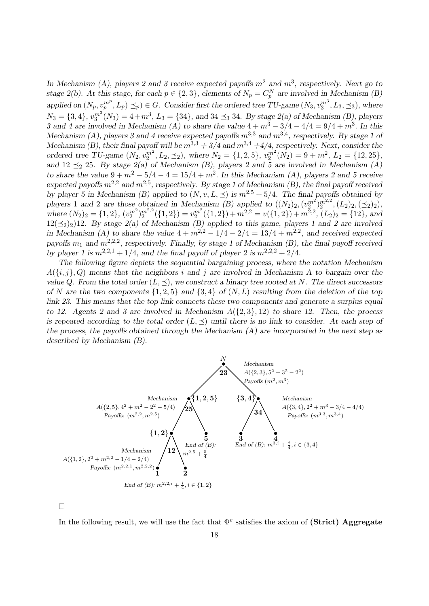In Mechanism (A), players 2 and 3 receive expected payoffs  $m^2$  and  $m^3$ , respectively. Next go to stage 2(b). At this stage, for each  $p \in \{2,3\}$ , elements of  $N_p = C_p^N$  are involved in Mechanism (B) applied on  $(N_p, v_p^{m^p}, L_p) \leq_p \in G$ . Consider first the ordered tree TU-game  $(N_3, v_3^{m^3}, L_3, \leq_3)$ , where  $N_3 = \{3, 4\}, v_3^{m^3}(N_3) = 4 + m^3, L_3 = \{34\}, \text{ and } 34 \leq_3 34.$  By stage 2(a) of Mechanism (B), players 3 and 4 are involved in Mechanism (A) to share the value  $4 + m^3 - 3/4 - 4/4 = 9/4 + m^3$ . In this Mechanism (A), players 3 and 4 receive expected payoffs  $m^{3,3}$  and  $m^{3,4}$ , respectively. By stage 1 of Mechanism (B), their final payoff will be  $m^{3,3} + 3/4$  and  $m^{3,4} + 4/4$ , respectively. Next, consider the ordered tree TU-game  $(N_2, v_2^{m^2}, L_2, \leq_2)$ , where  $N_2 = \{1, 2, 5\}$ ,  $v_2^{m^2}(N_2) = 9 + m^2$ ,  $L_2 = \{12, 25\}$ , and 12  $\preceq_2$  25. By stage 2(a) of Mechanism (B), players 2 and 5 are involved in Mechanism (A) to share the value  $9 + m^2 - 5/4 - 4 = 15/4 + m^2$ . In this Mechanism (A), players 2 and 5 receive expected payoffs  $m^{2,2}$  and  $m^{2,5}$ , respectively. By stage 1 of Mechanism (B), the final payoff received by player 5 in Mechanism (B) applied to  $(N, v, L, \preceq)$  is  $m^{2.5} + 5/4$ . The final payoffs obtained by players 1 and 2 are those obtained in Mechanism (B) applied to  $((N_2)_2, (v_2^m)_2^{m^2}, (L_2)_2, (\preceq_2)_2)$ , where  $(N_2)_2 = \{1, 2\}, \, (v_2^{m^2})_2^{m^{2,2}}(\{1, 2\}) = v_2^{m^2}(\{1, 2\}) + m^{2,2} = v(\{1, 2\}) + m^{2,2}, \, (L_2)_2 = \{12\}, \, \text{and}$  $12(\leq_2)_2$  12. By stage  $2(a)$  of Mechanism (B) applied to this game, players 1 and 2 are involved in Mechanism (A) to share the value  $4 + m^{2,2} - 1/4 - 2/4 = 13/4 + m^{2,2}$ , and received expected payoffs  $m_1$  and  $m^{2,2,2}$ , respectively. Finally, by stage 1 of Mechanism (B), the final payoff received by player 1 is  $m^{2,2,1} + 1/4$ , and the final payoff of player 2 is  $m^{2,2,2} + 2/4$ .

The following figure depicts the sequential bargaining process, where the notation Mechanism  $A(\{i,j\},Q)$  means that the neighbors i and j are involved in Mechanism A to bargain over the value Q. From the total order  $(L, \preceq)$ , we construct a binary tree rooted at N. The direct successors of N are the two components  $\{1,2,5\}$  and  $\{3,4\}$  of  $(N,L)$  resulting from the deletion of the top link 23. This means that the top link connects these two components and generate a surplus equal to 12. Agents 2 and 3 are involved in Mechanism  $A(\{2,3\},12)$  to share 12. Then, the process is repeated according to the total order  $(L, \preceq)$  until there is no link to consider. At each step of the process, the payoffs obtained through the Mechanism  $(A)$  are incorporated in the next step as described by Mechanism (B).



 $\Box$ 

In the following result, we will use the fact that  $\Phi^e$  satisfies the axiom of (Strict) Aggregate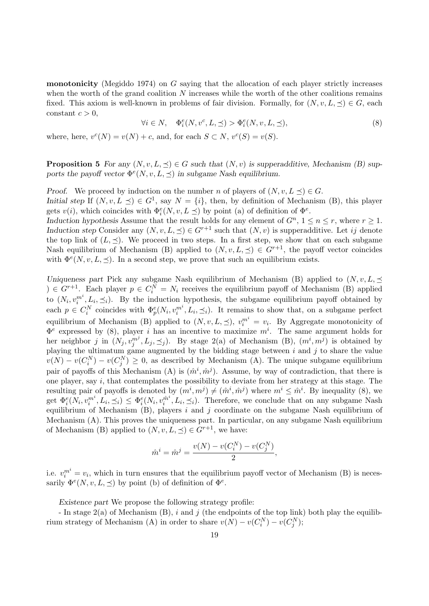**monotonicity** (Megiddo 1974) on  $G$  saying that the allocation of each player strictly increases when the worth of the grand coalition  $N$  increases while the worth of the other coalitions remains fixed. This axiom is well-known in problems of fair division. Formally, for  $(N, v, L, \preceq) \in G$ , each constant  $c > 0$ ,

$$
\forall i \in N, \quad \Phi_i^e(N, v^c, L, \preceq) > \Phi_i^e(N, v, L, \preceq), \tag{8}
$$

where, here,  $v^{c}(N) = v(N) + c$ , and, for each  $S \subset N$ ,  $v^{c}(S) = v(S)$ .

**Proposition 5** For any  $(N, v, L, \preceq) \in G$  such that  $(N, v)$  is supperadditive, Mechanism (B) supports the payoff vector  $\Phi^e(N, v, L, \preceq)$  in subgame Nash equilibrium.

Proof. We proceed by induction on the number n of players of  $(N, v, L \preceq) \in G$ . Initial step If  $(N, v, L \preceq) \in G^1$ , say  $N = \{i\}$ , then, by definition of Mechanism (B), this player gets  $v(i)$ , which coincides with  $\Phi_i^e(N, v, L \preceq)$  by point (a) of definition of  $\Phi^e$ .

Induction hypothesis Assume that the result holds for any element of  $G<sup>n</sup>$ ,  $1 \le n \le r$ , where  $r \ge 1$ . Induction step Consider any  $(N, v, L, \preceq) \in G^{r+1}$  such that  $(N, v)$  is supperadditive. Let ij denote the top link of  $(L, \preceq)$ . We proceed in two steps. In a first step, we show that on each subgame Nash equilibrium of Mechanism (B) applied to  $(N, v, L, \preceq) \in G^{r+1}$ , the payoff vector coincides with  $\Phi^e(N, v, L, \leq)$ . In a second step, we prove that such an equilibrium exists.

Uniqueness part Pick any subgame Nash equilibrium of Mechanism (B) applied to  $(N, v, L, \preceq)$  $) \in G^{r+1}$ . Each player  $p \in C_i^N = N_i$  receives the equilibrium payoff of Mechanism (B) applied to  $(N_i, v_i^{m^i}, L_i, \preceq_i)$ . By the induction hypothesis, the subgame equilibrium payoff obtained by each  $p \in C_i^N$  coincides with  $\Phi_p^e(N_i, v_i^{m^i}, L_i, \preceq_i)$ . It remains to show that, on a subgame perfect equilibrium of Mechanism (B) applied to  $(N, v, L, \preceq)$ ,  $v_i^{m^i} = v_i$ . By Aggregate monotonicity of  $\Phi^e$  expressed by (8), player *i* has an incentive to maximize  $m^i$ . The same argument holds for her neighbor j in  $(N_j, v_j^{m^j}, L_j, \preceq_j)$ . By stage 2(a) of Mechanism (B),  $(m^i, m^j)$  is obtained by playing the ultimatum game augmented by the bidding stage between  $i$  and  $j$  to share the value  $v(N) - v(C_i^N) - v(C_j^N) \geq 0$ , as described by Mechanism (A). The unique subgame equilibrium pair of payoffs of this Mechanism (A) is  $(\hat{m}^i, \hat{m}^j)$ . Assume, by way of contradiction, that there is one player, say i, that contemplates the possibility to deviate from her strategy at this stage. The resulting pair of payoffs is denoted by  $(m^i, m^j) \neq (\hat{m}^i, \hat{m}^j)$  where  $m^i \leq \hat{m}^i$ . By inequality (8), we get  $\Phi_i^e(N_i, v_i^{m^i}, L_i, \preceq_i) \leq \Phi_i^e(N_i, v_i^{\hat{m}^i})$  $i^{m^*}, L_i, \preceq_i$ ). Therefore, we conclude that on any subgame Nash equilibrium of Mechanism  $(B)$ , players i and j coordinate on the subgame Nash equilibrium of Mechanism (A). This proves the uniqueness part. In particular, on any subgame Nash equilibrium of Mechanism (B) applied to  $(N, v, L, \preceq) \in G^{r+1}$ , we have:

$$
\hat{m}^i = \hat{m}^j = \frac{v(N) - v(C_i^N) - v(C_j^N)}{2},
$$

i.e.  $v_i^{m^i} = v_i$ , which in turn ensures that the equilibrium payoff vector of Mechanism (B) is necessarily  $\Phi^e(N, v, L, \preceq)$  by point (b) of definition of  $\Phi^e$ .

Existence part We propose the following strategy profile:

- In stage  $2(a)$  of Mechanism (B), i and j (the endpoints of the top link) both play the equilibrium strategy of Mechanism (A) in order to share  $v(N) - v(C_i^N) - v(C_j^N);$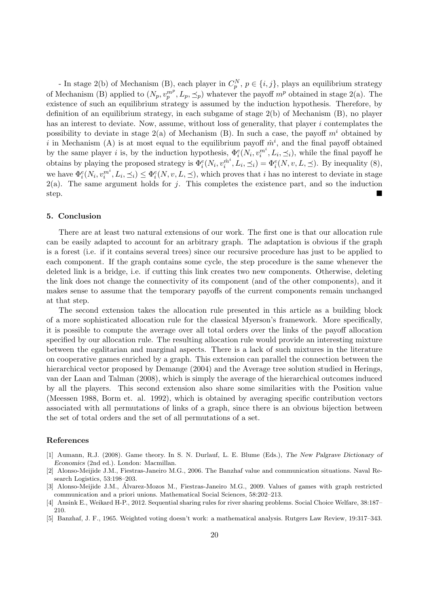- In stage 2(b) of Mechanism (B), each player in  $C_p^N$ ,  $p \in \{i, j\}$ , plays an equilibrium strategy of Mechanism (B) applied to  $(N_p, v_p^{m^p}, L_p, \preceq_p)$  whatever the payoff  $m^p$  obtained in stage 2(a). The existence of such an equilibrium strategy is assumed by the induction hypothesis. Therefore, by definition of an equilibrium strategy, in each subgame of stage 2(b) of Mechanism (B), no player has an interest to deviate. Now, assume, without loss of generality, that player i contemplates the possibility to deviate in stage  $2(a)$  of Mechanism (B). In such a case, the payoff  $m<sup>i</sup>$  obtained by i in Mechanism (A) is at most equal to the equilibrium payoff  $\hat{m}^i$ , and the final payoff obtained by the same player *i* is, by the induction hypothesis,  $\Phi_i^e(N_i, v_i^{m^i}, L_i, \preceq_i)$ , while the final payoff he obtains by playing the proposed strategy is  $\Phi_i^e(N_i, v_i^{\hat{m}^i})$  $\hat{q}_i^{m^i}, L_i, \preceq_i) = \Phi_i^e(N, v, L, \preceq)$ . By inequality (8), we have  $\Phi_i^e(N_i, v_i^{m^i}, L_i, \preceq_i) \leq \Phi_i^e(N, v, L, \preceq)$ , which proves that *i* has no interest to deviate in stage  $2(a)$ . The same argument holds for j. This completes the existence part, and so the induction step.

# 5. Conclusion

There are at least two natural extensions of our work. The first one is that our allocation rule can be easily adapted to account for an arbitrary graph. The adaptation is obvious if the graph is a forest (i.e. if it contains several trees) since our recursive procedure has just to be applied to each component. If the graph contains some cycle, the step procedure is the same whenever the deleted link is a bridge, i.e. if cutting this link creates two new components. Otherwise, deleting the link does not change the connectivity of its component (and of the other components), and it makes sense to assume that the temporary payoffs of the current components remain unchanged at that step.

The second extension takes the allocation rule presented in this article as a building block of a more sophisticated allocation rule for the classical Myerson's framework. More specifically, it is possible to compute the average over all total orders over the links of the payoff allocation specified by our allocation rule. The resulting allocation rule would provide an interesting mixture between the egalitarian and marginal aspects. There is a lack of such mixtures in the literature on cooperative games enriched by a graph. This extension can parallel the connection between the hierarchical vector proposed by Demange (2004) and the Average tree solution studied in Herings, van der Laan and Talman (2008), which is simply the average of the hierarchical outcomes induced by all the players. This second extension also share some similarities with the Position value (Meessen 1988, Borm et. al. 1992), which is obtained by averaging specific contribution vectors associated with all permutations of links of a graph, since there is an obvious bijection between the set of total orders and the set of all permutations of a set.

#### References

- [1] Aumann, R.J. (2008). Game theory. In S. N. Durlauf, L. E. Blume (Eds.), The New Palgrave Dictionary of Economics (2nd ed.). London: Macmillan.
- [2] Alonso-Meijide J.M., Fiestras-Janeiro M.G., 2006. The Banzhaf value and communication situations. Naval Research Logistics, 53:198–203.
- [3] Alonso-Meijide J.M., Alvarez-Mozos M., Fiestras-Janeiro M.G., 2009. Values of games with graph restricted ´ communication and a priori unions. Mathematical Social Sciences, 58:202–213.
- [4] Ansink E., Weikard H-P., 2012. Sequential sharing rules for river sharing problems. Social Choice Welfare, 38:187– 210.
- [5] Banzhaf, J. F., 1965. Weighted voting doesn't work: a mathematical analysis. Rutgers Law Review, 19:317–343.